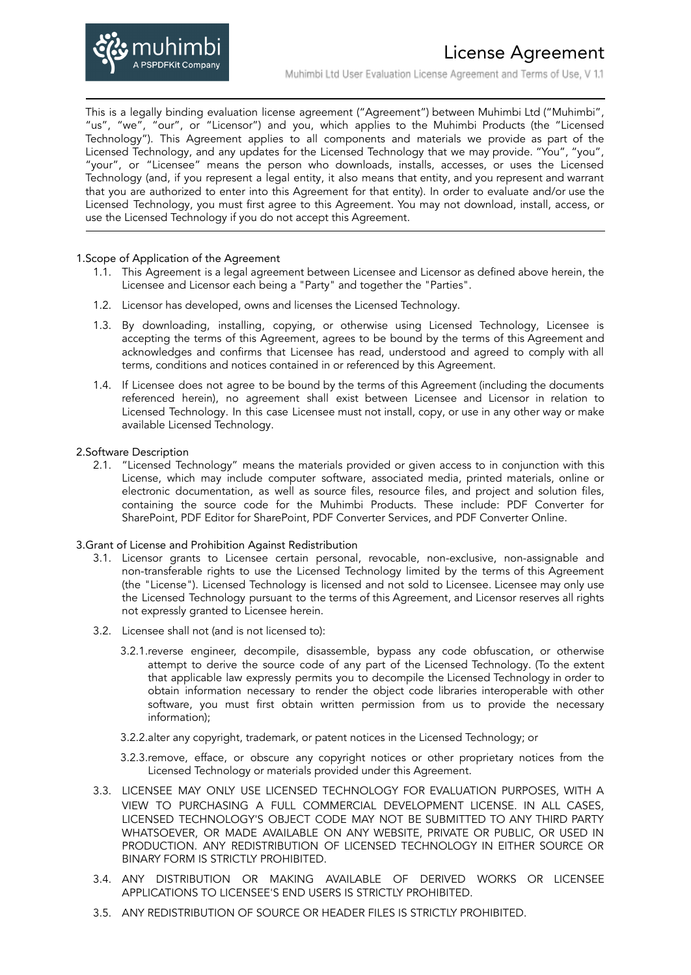

This is a legally binding evaluation license agreement ("Agreement") between Muhimbi Ltd ("Muhimbi", "us", "we", "our", or "Licensor") and you, which applies to the Muhimbi Products (the "Licensed Technology"). This Agreement applies to all components and materials we provide as part of the Licensed Technology, and any updates for the Licensed Technology that we may provide. "You", "you", "your", or "Licensee" means the person who downloads, installs, accesses, or uses the Licensed Technology (and, if you represent a legal entity, it also means that entity, and you represent and warrant that you are authorized to enter into this Agreement for that entity). In order to evaluate and/or use the Licensed Technology, you must first agree to this Agreement. You may not download, install, access, or use the Licensed Technology if you do not accept this Agreement.

#### 1.Scope of Application of the Agreement

- 1.1. This Agreement is a legal agreement between Licensee and Licensor as defined above herein, the Licensee and Licensor each being a "Party" and together the "Parties".
- 1.2. Licensor has developed, owns and licenses the Licensed Technology.
- 1.3. By downloading, installing, copying, or otherwise using Licensed Technology, Licensee is accepting the terms of this Agreement, agrees to be bound by the terms of this Agreement and acknowledges and confirms that Licensee has read, understood and agreed to comply with all terms, conditions and notices contained in or referenced by this Agreement.
- 1.4. If Licensee does not agree to be bound by the terms of this Agreement (including the documents referenced herein), no agreement shall exist between Licensee and Licensor in relation to Licensed Technology. In this case Licensee must not install, copy, or use in any other way or make available Licensed Technology.

#### 2.Software Description

2.1. "Licensed Technology" means the materials provided or given access to in conjunction with this License, which may include computer software, associated media, printed materials, online or electronic documentation, as well as source files, resource files, and project and solution files, containing the source code for the Muhimbi Products. These include: PDF Converter for SharePoint, PDF Editor for SharePoint, PDF Converter Services, and PDF Converter Online.

### 3.Grant of License and Prohibition Against Redistribution

- 3.1. Licensor grants to Licensee certain personal, revocable, non-exclusive, non-assignable and non-transferable rights to use the Licensed Technology limited by the terms of this Agreement (the "License"). Licensed Technology is licensed and not sold to Licensee. Licensee may only use the Licensed Technology pursuant to the terms of this Agreement, and Licensor reserves all rights not expressly granted to Licensee herein.
- 3.2. Licensee shall not (and is not licensed to):
	- 3.2.1.reverse engineer, decompile, disassemble, bypass any code obfuscation, or otherwise attempt to derive the source code of any part of the Licensed Technology. (To the extent that applicable law expressly permits you to decompile the Licensed Technology in order to obtain information necessary to render the object code libraries interoperable with other software, you must first obtain written permission from us to provide the necessary information);
	- 3.2.2.alter any copyright, trademark, or patent notices in the Licensed Technology; or
	- 3.2.3.remove, efface, or obscure any copyright notices or other proprietary notices from the Licensed Technology or materials provided under this Agreement.
- 3.3. LICENSEE MAY ONLY USE LICENSED TECHNOLOGY FOR EVALUATION PURPOSES, WITH A VIEW TO PURCHASING A FULL COMMERCIAL DEVELOPMENT LICENSE. IN ALL CASES, LICENSED TECHNOLOGY'S OBJECT CODE MAY NOT BE SUBMITTED TO ANY THIRD PARTY WHATSOEVER, OR MADE AVAILABLE ON ANY WEBSITE, PRIVATE OR PUBLIC, OR USED IN PRODUCTION. ANY REDISTRIBUTION OF LICENSED TECHNOLOGY IN EITHER SOURCE OR BINARY FORM IS STRICTLY PROHIBITED.
- 3.4. ANY DISTRIBUTION OR MAKING AVAILABLE OF DERIVED WORKS OR LICENSEE APPLICATIONS TO LICENSEE'S END USERS IS STRICTLY PROHIBITED.
- 3.5. ANY REDISTRIBUTION OF SOURCE OR HEADER FILES IS STRICTLY PROHIBITED.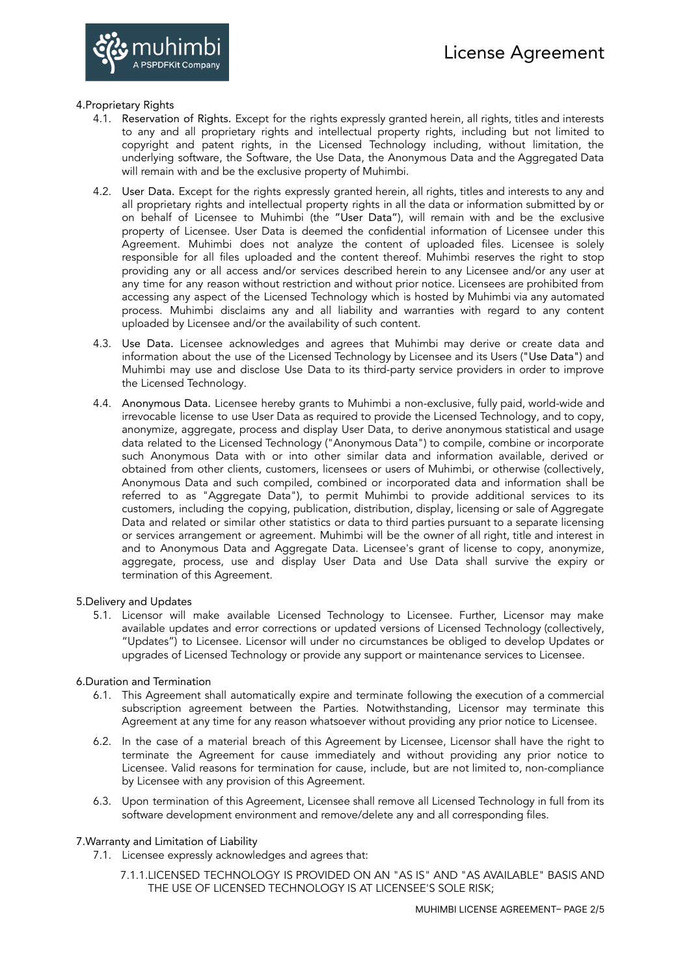

## 4.Proprietary Rights

- 4.1. Reservation of Rights. Except for the rights expressly granted herein, all rights, titles and interests to any and all proprietary rights and intellectual property rights, including but not limited to copyright and patent rights, in the Licensed Technology including, without limitation, the underlying software, the Software, the Use Data, the Anonymous Data and the Aggregated Data will remain with and be the exclusive property of Muhimbi.
- 4.2. User Data. Except for the rights expressly granted herein, all rights, titles and interests to any and all proprietary rights and intellectual property rights in all the data or information submitted by or on behalf of Licensee to Muhimbi (the "User Data"), will remain with and be the exclusive property of Licensee. User Data is deemed the confidential information of Licensee under this Agreement. Muhimbi does not analyze the content of uploaded files. Licensee is solely responsible for all files uploaded and the content thereof. Muhimbi reserves the right to stop providing any or all access and/or services described herein to any Licensee and/or any user at any time for any reason without restriction and without prior notice. Licensees are prohibited from accessing any aspect of the Licensed Technology which is hosted by Muhimbi via any automated process. Muhimbi disclaims any and all liability and warranties with regard to any content uploaded by Licensee and/or the availability of such content.
- 4.3. Use Data. Licensee acknowledges and agrees that Muhimbi may derive or create data and information about the use of the Licensed Technology by Licensee and its Users ("Use Data") and Muhimbi may use and disclose Use Data to its third-party service providers in order to improve the Licensed Technology.
- 4.4. Anonymous Data. Licensee hereby grants to Muhimbi a non-exclusive, fully paid, world-wide and irrevocable license to use User Data as required to provide the Licensed Technology, and to copy, anonymize, aggregate, process and display User Data, to derive anonymous statistical and usage data related to the Licensed Technology ("Anonymous Data") to compile, combine or incorporate such Anonymous Data with or into other similar data and information available, derived or obtained from other clients, customers, licensees or users of Muhimbi, or otherwise (collectively, Anonymous Data and such compiled, combined or incorporated data and information shall be referred to as "Aggregate Data"), to permit Muhimbi to provide additional services to its customers, including the copying, publication, distribution, display, licensing or sale of Aggregate Data and related or similar other statistics or data to third parties pursuant to a separate licensing or services arrangement or agreement. Muhimbi will be the owner of all right, title and interest in and to Anonymous Data and Aggregate Data. Licensee's grant of license to copy, anonymize, aggregate, process, use and display User Data and Use Data shall survive the expiry or termination of this Agreement.

### 5.Delivery and Updates

5.1. Licensor will make available Licensed Technology to Licensee. Further, Licensor may make available updates and error corrections or updated versions of Licensed Technology (collectively, "Updates") to Licensee. Licensor will under no circumstances be obliged to develop Updates or upgrades of Licensed Technology or provide any support or maintenance services to Licensee.

# 6.Duration and Termination

- 6.1. This Agreement shall automatically expire and terminate following the execution of a commercial subscription agreement between the Parties. Notwithstanding, Licensor may terminate this Agreement at any time for any reason whatsoever without providing any prior notice to Licensee.
- 6.2. In the case of a material breach of this Agreement by Licensee, Licensor shall have the right to terminate the Agreement for cause immediately and without providing any prior notice to Licensee. Valid reasons for termination for cause, include, but are not limited to, non-compliance by Licensee with any provision of this Agreement.
- 6.3. Upon termination of this Agreement, Licensee shall remove all Licensed Technology in full from its software development environment and remove/delete any and all corresponding files.

# 7.Warranty and Limitation of Liability

- 7.1. Licensee expressly acknowledges and agrees that:
	- 7.1.1.LICENSED TECHNOLOGY IS PROVIDED ON AN "AS IS" AND "AS AVAILABLE" BASIS AND THE USE OF LICENSED TECHNOLOGY IS AT LICENSEE'S SOLE RISK;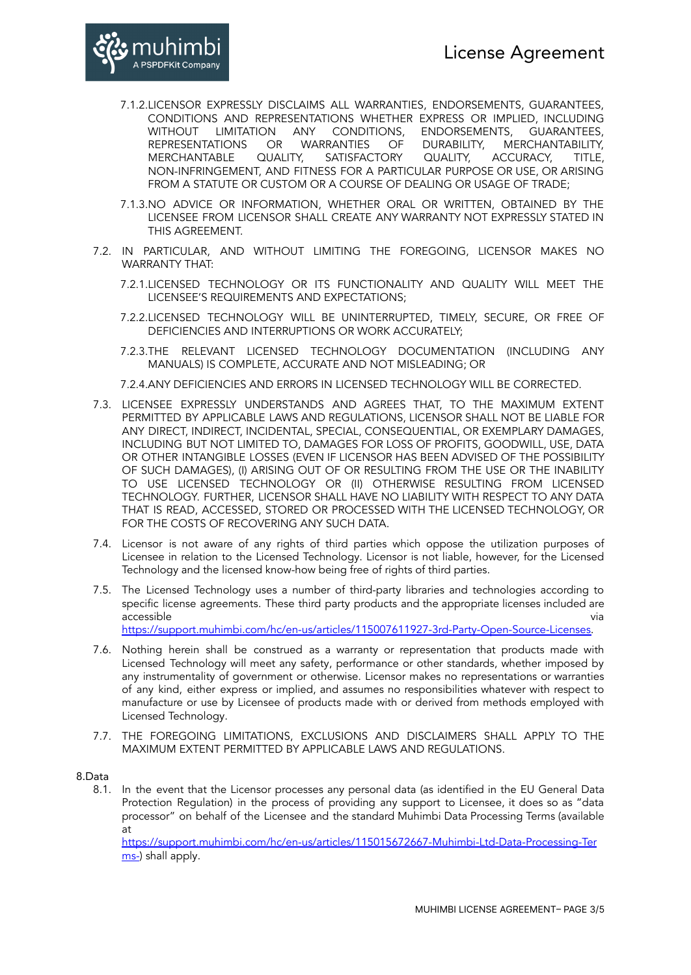

- 7.1.2.LICENSOR EXPRESSLY DISCLAIMS ALL WARRANTIES, ENDORSEMENTS, GUARANTEES, CONDITIONS AND REPRESENTATIONS WHETHER EXPRESS OR IMPLIED, INCLUDING WITHOUT LIMITATION ANY CONDITIONS, ENDORSEMENTS, GUARANTEES,<br>REPRESENTATIONS OR WARRANTIES OF DURABILITY, MERCHANTABILITY, REPRESENTATIONS OR WARRANTIES OF DURABILITY, MERCHAN<br>MERCHANTABLE QUALITY, SATISFACTORY QUALITY, ACCURACY, SATISFACTORY QUALITY, ACCURACY, TITLE, NON-INFRINGEMENT, AND FITNESS FOR A PARTICULAR PURPOSE OR USE, OR ARISING FROM A STATUTE OR CUSTOM OR A COURSE OF DEALING OR USAGE OF TRADE;
- 7.1.3.NO ADVICE OR INFORMATION, WHETHER ORAL OR WRITTEN, OBTAINED BY THE LICENSEE FROM LICENSOR SHALL CREATE ANY WARRANTY NOT EXPRESSLY STATED IN THIS AGREEMENT.
- 7.2. IN PARTICULAR, AND WITHOUT LIMITING THE FOREGOING, LICENSOR MAKES NO WARRANTY THAT:
	- 7.2.1.LICENSED TECHNOLOGY OR ITS FUNCTIONALITY AND QUALITY WILL MEET THE LICENSEE'S REQUIREMENTS AND EXPECTATIONS;
	- 7.2.2.LICENSED TECHNOLOGY WILL BE UNINTERRUPTED, TIMELY, SECURE, OR FREE OF DEFICIENCIES AND INTERRUPTIONS OR WORK ACCURATELY;
	- 7.2.3.THE RELEVANT LICENSED TECHNOLOGY DOCUMENTATION (INCLUDING ANY MANUALS) IS COMPLETE, ACCURATE AND NOT MISLEADING; OR
	- 7.2.4.ANY DEFICIENCIES AND ERRORS IN LICENSED TECHNOLOGY WILL BE CORRECTED.
- 7.3. LICENSEE EXPRESSLY UNDERSTANDS AND AGREES THAT, TO THE MAXIMUM EXTENT PERMITTED BY APPLICABLE LAWS AND REGULATIONS, LICENSOR SHALL NOT BE LIABLE FOR ANY DIRECT, INDIRECT, INCIDENTAL, SPECIAL, CONSEQUENTIAL, OR EXEMPLARY DAMAGES, INCLUDING BUT NOT LIMITED TO, DAMAGES FOR LOSS OF PROFITS, GOODWILL, USE, DATA OR OTHER INTANGIBLE LOSSES (EVEN IF LICENSOR HAS BEEN ADVISED OF THE POSSIBILITY OF SUCH DAMAGES), (I) ARISING OUT OF OR RESULTING FROM THE USE OR THE INABILITY TO USE LICENSED TECHNOLOGY OR (II) OTHERWISE RESULTING FROM LICENSED TECHNOLOGY. FURTHER, LICENSOR SHALL HAVE NO LIABILITY WITH RESPECT TO ANY DATA THAT IS READ, ACCESSED, STORED OR PROCESSED WITH THE LICENSED TECHNOLOGY, OR FOR THE COSTS OF RECOVERING ANY SUCH DATA.
- 7.4. Licensor is not aware of any rights of third parties which oppose the utilization purposes of Licensee in relation to the Licensed Technology. Licensor is not liable, however, for the Licensed Technology and the licensed know-how being free of rights of third parties.
- 7.5. The Licensed Technology uses a number of third-party libraries and technologies according to specific license agreements. These third party products and the appropriate licenses included are accessible via [https://support.muhimbi.com/hc/en-us/articles/115007611927-3rd-Party-Open-Source-Licenses.](https://support.muhimbi.com/hc/en-us/articles/115007611927-3rd-Party-Open-Source-Licenses)
- 7.6. Nothing herein shall be construed as a warranty or representation that products made with Licensed Technology will meet any safety, performance or other standards, whether imposed by any instrumentality of government or otherwise. Licensor makes no representations or warranties of any kind, either express or implied, and assumes no responsibilities whatever with respect to manufacture or use by Licensee of products made with or derived from methods employed with Licensed Technology.
- 7.7. THE FOREGOING LIMITATIONS, EXCLUSIONS AND DISCLAIMERS SHALL APPLY TO THE MAXIMUM EXTENT PERMITTED BY APPLICABLE LAWS AND REGULATIONS.

8.Data

8.1. In the event that the Licensor processes any personal data (as identified in the EU General Data Protection Regulation) in the process of providing any support to Licensee, it does so as "data processor" on behalf of the Licensee and the standard Muhimbi Data Processing Terms (available at

[https://support.muhimbi.com/hc/en-us/articles/115015672667-Muhimbi-Ltd-Data-Processing-Ter](https://support.muhimbi.com/hc/en-us/articles/115015672667-Muhimbi-Ltd-Data-Processing-Terms-) [ms-](https://support.muhimbi.com/hc/en-us/articles/115015672667-Muhimbi-Ltd-Data-Processing-Terms-)) shall apply.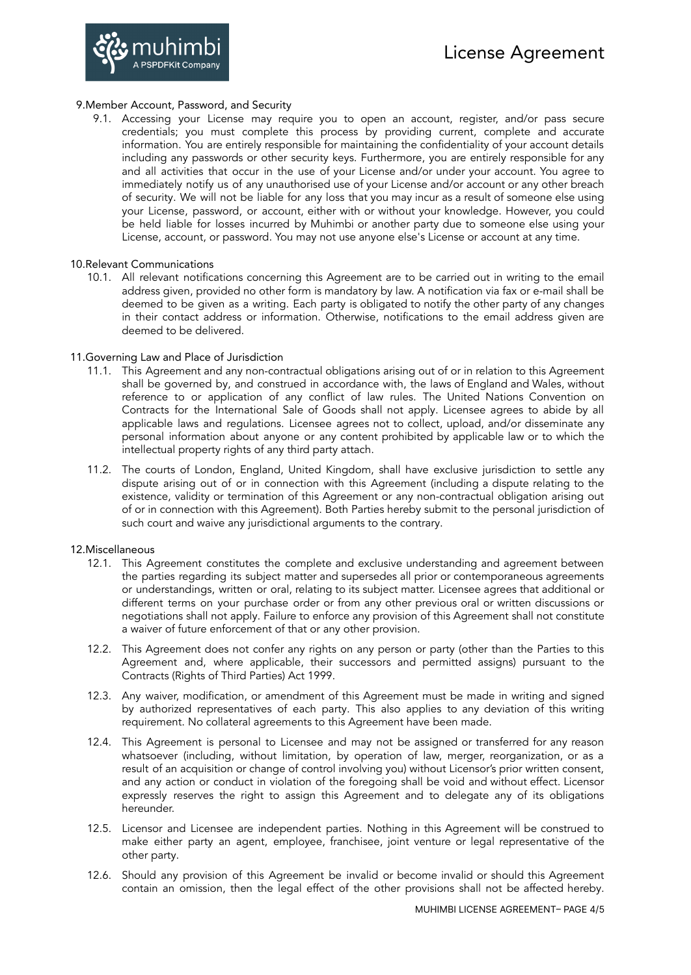

## 9.Member Account, Password, and Security

9.1. Accessing your License may require you to open an account, register, and/or pass secure credentials; you must complete this process by providing current, complete and accurate information. You are entirely responsible for maintaining the confidentiality of your account details including any passwords or other security keys. Furthermore, you are entirely responsible for any and all activities that occur in the use of your License and/or under your account. You agree to immediately notify us of any unauthorised use of your License and/or account or any other breach of security. We will not be liable for any loss that you may incur as a result of someone else using your License, password, or account, either with or without your knowledge. However, you could be held liable for losses incurred by Muhimbi or another party due to someone else using your License, account, or password. You may not use anyone else's License or account at any time.

### 10.Relevant Communications

10.1. All relevant notifications concerning this Agreement are to be carried out in writing to the email address given, provided no other form is mandatory by law. A notification via fax or e-mail shall be deemed to be given as a writing. Each party is obligated to notify the other party of any changes in their contact address or information. Otherwise, notifications to the email address given are deemed to be delivered.

## 11.Governing Law and Place of Jurisdiction

- 11.1. This Agreement and any non-contractual obligations arising out of or in relation to this Agreement shall be governed by, and construed in accordance with, the laws of England and Wales, without reference to or application of any conflict of law rules. The United Nations Convention on Contracts for the International Sale of Goods shall not apply. Licensee agrees to abide by all applicable laws and regulations. Licensee agrees not to collect, upload, and/or disseminate any personal information about anyone or any content prohibited by applicable law or to which the intellectual property rights of any third party attach.
- 11.2. The courts of London, England, United Kingdom, shall have exclusive jurisdiction to settle any dispute arising out of or in connection with this Agreement (including a dispute relating to the existence, validity or termination of this Agreement or any non-contractual obligation arising out of or in connection with this Agreement). Both Parties hereby submit to the personal jurisdiction of such court and waive any jurisdictional arguments to the contrary.

### 12.Miscellaneous

- 12.1. This Agreement constitutes the complete and exclusive understanding and agreement between the parties regarding its subject matter and supersedes all prior or contemporaneous agreements or understandings, written or oral, relating to its subject matter. Licensee agrees that additional or different terms on your purchase order or from any other previous oral or written discussions or negotiations shall not apply. Failure to enforce any provision of this Agreement shall not constitute a waiver of future enforcement of that or any other provision.
- 12.2. This Agreement does not confer any rights on any person or party (other than the Parties to this Agreement and, where applicable, their successors and permitted assigns) pursuant to the Contracts (Rights of Third Parties) Act 1999.
- 12.3. Any waiver, modification, or amendment of this Agreement must be made in writing and signed by authorized representatives of each party. This also applies to any deviation of this writing requirement. No collateral agreements to this Agreement have been made.
- 12.4. This Agreement is personal to Licensee and may not be assigned or transferred for any reason whatsoever (including, without limitation, by operation of law, merger, reorganization, or as a result of an acquisition or change of control involving you) without Licensor's prior written consent, and any action or conduct in violation of the foregoing shall be void and without effect. Licensor expressly reserves the right to assign this Agreement and to delegate any of its obligations hereunder.
- 12.5. Licensor and Licensee are independent parties. Nothing in this Agreement will be construed to make either party an agent, employee, franchisee, joint venture or legal representative of the other party.
- 12.6. Should any provision of this Agreement be invalid or become invalid or should this Agreement contain an omission, then the legal effect of the other provisions shall not be affected hereby.